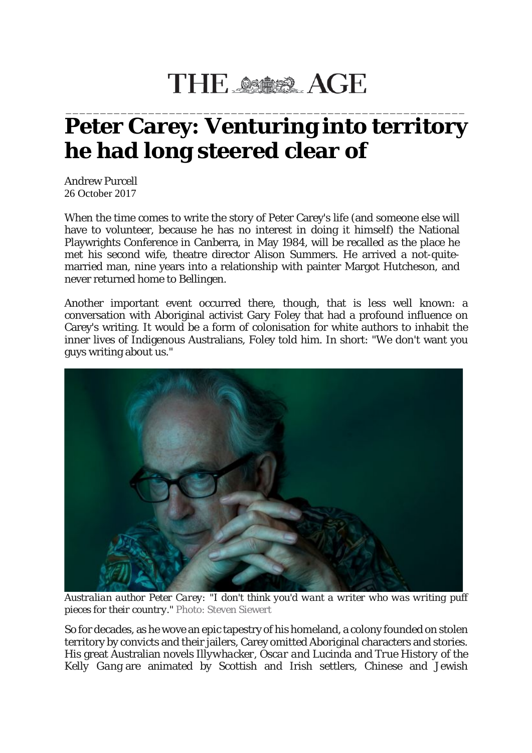## THE SSASS AGE

## \_\_\_\_\_\_\_\_\_\_\_\_\_\_\_\_\_\_\_\_\_\_\_\_\_\_\_\_\_\_\_\_\_\_\_\_\_\_\_\_\_\_\_\_\_\_\_\_\_\_\_\_\_\_\_\_\_\_ **Peter Carey: Venturing into territory he had long steered clear of**

Andrew Purcell 26 October 2017

When the time comes to write the story of Peter Carey's life (and someone else will have to volunteer, because he has no interest in doing it himself) the National Playwrights Conference in Canberra, in May 1984, will be recalled as the place he met his second wife, theatre director Alison Summers. He arrived a not-quitemarried man, nine years into a relationship with painter Margot Hutcheson, and never returned home to Bellingen.

Another important event occurred there, though, that is less well known: a conversation with Aboriginal activist Gary Foley that had a profound influence on Carey's writing. It would be a form of colonisation for white authors to inhabit the inner lives of Indigenous Australians, Foley told him. In short: "We don't want you guys writing about us."



*Australian author Peter Carey: "I don't think you'd want a writer who was writing puff pieces for their country."* Photo: Steven Siewert

So for decades, as he wove an epic tapestry of his homeland, a colony founded on stolen territory by convicts and their jailers, Carey omitted Aboriginal characters and stories. His great Australian novels *Illywhacker, Oscar and Lucinda* and *True History of the Kelly Gang* are animated by Scottish and Irish settlers, Chinese and Jewish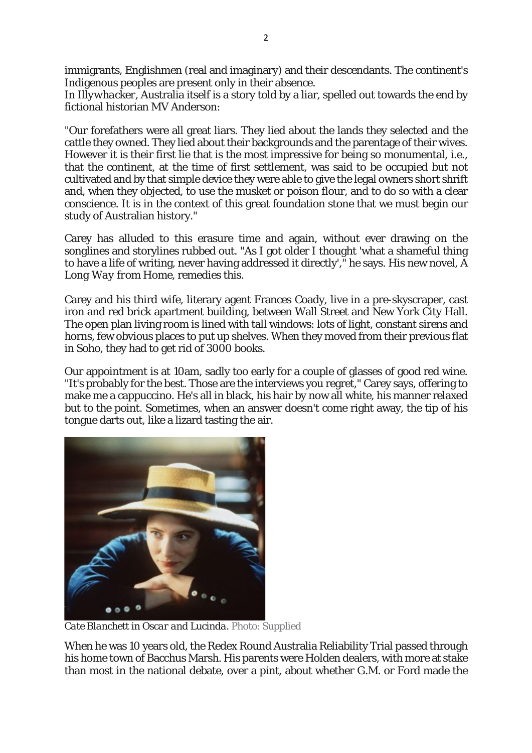immigrants, Englishmen (real and imaginary) and their descendants. The continent's Indigenous peoples are present only in their absence.

In *Illywhacker*, Australia itself is a story told by a liar, spelled out towards the end by fictional historian MV Anderson:

"Our forefathers were all great liars. They lied about the lands they selected and the cattle they owned. They lied about their backgrounds and the parentage of their wives. However it is their first lie that is the most impressive for being so monumental, i.e., that the continent, at the time of first settlement, was said to be occupied but not cultivated and by that simple device they were able to give the legal owners short shrift and, when they objected, to use the musket or poison flour, and to do so with a clear conscience. It is in the context of this great foundation stone that we must begin our study of Australian history."

Carey has alluded to this erasure time and again, without ever drawing on the songlines and storylines rubbed out. "As I got older I thought 'what a shameful thing to have a life of writing, never having addressed it directly'," he says. His new novel, *A Long Way from Home*, remedies this.

Carey and his third wife, literary agent Frances Coady, live in a pre-skyscraper, cast iron and red brick apartment building, between Wall Street and New York City Hall. The open plan living room is lined with tall windows: lots of light, constant sirens and horns, few obvious places to put up shelves. When they moved from their previous flat in Soho, they had to get rid of 3000 books.

Our appointment is at 10am, sadly too early for a couple of glasses of good red wine. "It's probably for the best. Those are the interviews you regret," Carey says, offering to make me a cappuccino. He's all in black, his hair by now all white, his manner relaxed but to the point. Sometimes, when an answer doesn't come right away, the tip of his tongue darts out, like a lizard tasting the air.



*Cate Blanchett in Oscar and Lucinda.* Photo: Supplied

When he was 10 years old, the Redex Round Australia Reliability Trial passed through his home town of Bacchus Marsh. His parents were Holden dealers, with more at stake than most in the national debate, over a pint, about whether G.M. or Ford made the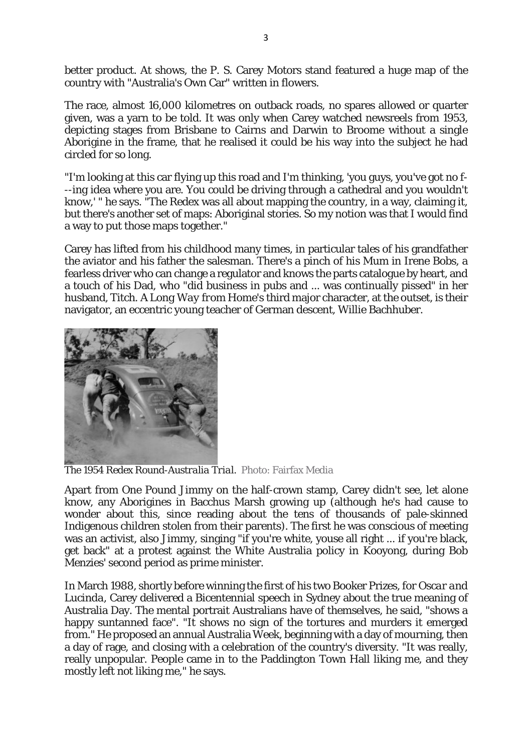better product. At shows, the P. S. Carey Motors stand featured a huge map of the country with "Australia's Own Car" written in flowers.

The race, almost 16,000 kilometres on outback roads, no spares allowed or quarter given, was a yarn to be told. It was only when Carey watched newsreels from 1953, depicting stages from Brisbane to Cairns and Darwin to Broome without a single Aborigine in the frame, that he realised it could be his way into the subject he had circled for so long.

"I'm looking at this car flying up this road and I'm thinking, 'you guys, you've got no f- --ing idea where you are. You could be driving through a cathedral and you wouldn't know,' " he says. "The Redex was all about mapping the country, in a way, claiming it, but there's another set of maps: Aboriginal stories. So my notion was that I would find a way to put those maps together."

Carey has lifted from his childhood many times, in particular tales of his grandfather the aviator and his father the salesman. There's a pinch of his Mum in Irene Bobs, a fearless driver who can change a regulator and knows the parts catalogue by heart, and a touch of his Dad, who "did business in pubs and ... was continually pissed" in her husband, Titch. *A Long Way from Home's* third major character, at the outset, is their navigator, an eccentric young teacher of German descent, Willie Bachhuber.



*The 1954 Redex Round-Australia Trial.* Photo: Fairfax Media

Apart from One Pound Jimmy on the half-crown stamp, Carey didn't see, let alone know, any Aborigines in Bacchus Marsh growing up (although he's had cause to wonder about this, since reading about the tens of thousands of pale-skinned Indigenous children stolen from their parents). The first he was conscious of meeting was an activist, also Jimmy, singing "if you're white, youse all right ... if you're black, get back" at a protest against the White Australia policy in Kooyong, during Bob Menzies' second period as prime minister.

In March 1988, shortly before winning the first of his two Booker Prizes, for *Oscar and Lucinda*, Carey delivered a Bicentennial speech in Sydney about the true meaning of Australia Day. The mental portrait Australians have of themselves, he said, "shows a happy suntanned face". "It shows no sign of the tortures and murders it emerged from." He proposed an annual Australia Week, beginning with a day of mourning, then a day of rage, and closing with a celebration of the country's diversity. "It was really, really unpopular. People came in to the Paddington Town Hall liking me, and they mostly left not liking me," he says.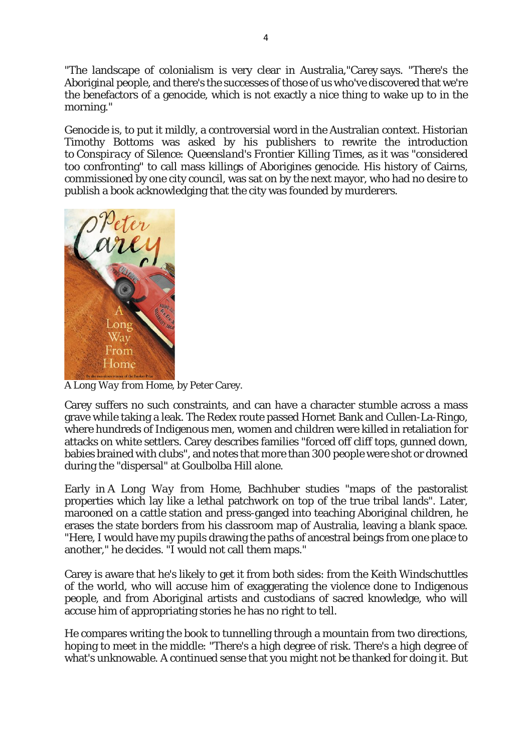"The landscape of colonialism is very clear in Australia,"Carey says. "There's the Aboriginal people, and there's the successes of those of us who've discovered that we're the benefactors of a genocide, which is not exactly a nice thing to wake up to in the morning."

Genocide is, to put it mildly, a controversial word in the Australian context. Historian Timothy Bottoms was asked by his publishers to rewrite the introduction to *Conspiracy of Silence: Queensland's Frontier Killing Times*, as it was "considered too confronting" to call mass killings of Aborigines genocide. His history of Cairns, commissioned by one city council, was sat on by the next mayor, who had no desire to publish a book acknowledging that the city was founded by murderers.



*A Long Way from Home*, by Peter Carey.

Carey suffers no such constraints, and can have a character stumble across a mass grave while taking a leak. The Redex route passed Hornet Bank and Cullen-La-Ringo, where hundreds of Indigenous men, women and children were killed in retaliation for attacks on white settlers. Carey describes families "forced off cliff tops, gunned down, babies brained with clubs", and notes that more than 300 people were shot or drowned during the "dispersal" at Goulbolba Hill alone.

Early in *A Long Way from Home*, Bachhuber studies "maps of the pastoralist properties which lay like a lethal patchwork on top of the true tribal lands". Later, marooned on a cattle station and press-ganged into teaching Aboriginal children, he erases the state borders from his classroom map of Australia, leaving a blank space. "Here, I would have my pupils drawing the paths of ancestral beings from one place to another," he decides. "I would not call them maps."

Carey is aware that he's likely to get it from both sides: from the Keith Windschuttles of the world, who will accuse him of exaggerating the violence done to Indigenous people, and from Aboriginal artists and custodians of sacred knowledge, who will accuse him of appropriating stories he has no right to tell.

He compares writing the book to tunnelling through a mountain from two directions, hoping to meet in the middle: "There's a high degree of risk. There's a high degree of what's unknowable. A continued sense that you might not be thanked for doing it. But